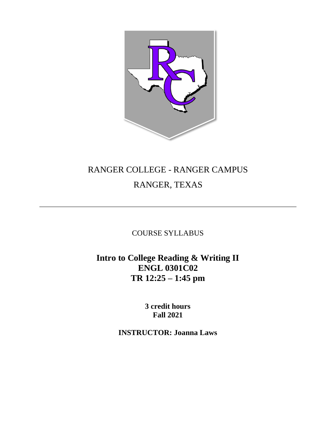

# RANGER COLLEGE - RANGER CAMPUS RANGER, TEXAS

COURSE SYLLABUS

**Intro to College Reading & Writing II ENGL 0301C02 TR 12:25 – 1:45 pm**

> **3 credit hours Fall 2021**

**INSTRUCTOR: Joanna Laws**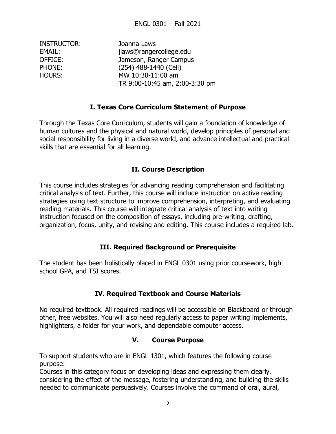| <b>INSTRUCTOR:</b> | Joanna Laws                    |
|--------------------|--------------------------------|
| EMAIL:             | jlaws@rangercollege.edu        |
| OFFICE:            | Jameson, Ranger Campus         |
| PHONE:             | (254) 488-1440 (Cell)          |
| <b>HOURS:</b>      | MW 10:30-11:00 am              |
|                    | TR 9:00-10:45 am, 2:00-3:30 pm |
|                    |                                |

#### **I. Texas Core Curriculum Statement of Purpose**

Through the Texas Core Curriculum, students will gain a foundation of knowledge of human cultures and the physical and natural world, develop principles of personal and social responsibility for living in a diverse world, and advance intellectual and practical skills that are essential for all learning.

#### **II. Course Description**

This course includes strategies for advancing reading comprehension and facilitating critical analysis of text. Further, this course will include instruction on active reading strategies using text structure to improve comprehension, interpreting, and evaluating reading materials. This course will integrate critical analysis of text into writing instruction focused on the composition of essays, including pre-writing, drafting, organization, focus, unity, and revising and editing. This course includes a required lab.

## **III. Required Background or Prerequisite**

The student has been holistically placed in ENGL 0301 using prior coursework, high school GPA, and TSI scores.

## **IV. Required Textbook and Course Materials**

No required textbook. All required readings will be accessible on Blackboard or through other, free websites. You will also need regularly access to paper writing implements, highlighters, a folder for your work, and dependable computer access.

#### **V. Course Purpose**

To support students who are in ENGL 1301, which features the following course purpose:

Courses in this category focus on developing ideas and expressing them clearly, considering the effect of the message, fostering understanding, and building the skills needed to communicate persuasively. Courses involve the command of oral, aural,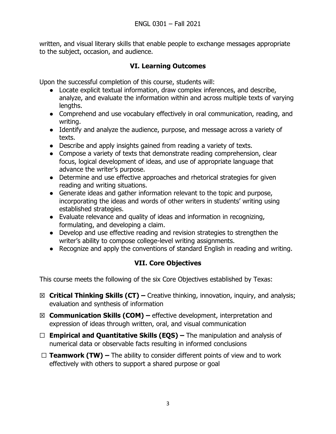written, and visual literary skills that enable people to exchange messages appropriate to the subject, occasion, and audience.

## **VI. Learning Outcomes**

Upon the successful completion of this course, students will:

- Locate explicit textual information, draw complex inferences, and describe, analyze, and evaluate the information within and across multiple texts of varying lengths.
- Comprehend and use vocabulary effectively in oral communication, reading, and writing.
- Identify and analyze the audience, purpose, and message across a variety of texts.
- Describe and apply insights gained from reading a variety of texts.
- Compose a variety of texts that demonstrate reading comprehension, clear focus, logical development of ideas, and use of appropriate language that advance the writer's purpose.
- Determine and use effective approaches and rhetorical strategies for given reading and writing situations.
- Generate ideas and gather information relevant to the topic and purpose, incorporating the ideas and words of other writers in students' writing using established strategies.
- Evaluate relevance and quality of ideas and information in recognizing, formulating, and developing a claim.
- Develop and use effective reading and revision strategies to strengthen the writer's ability to compose college-level writing assignments.
- Recognize and apply the conventions of standard English in reading and writing.

# **VII. Core Objectives**

This course meets the following of the six Core Objectives established by Texas:

- ☒ **Critical Thinking Skills (CT) –** Creative thinking, innovation, inquiry, and analysis; evaluation and synthesis of information
- ☒ **Communication Skills (COM) –** effective development, interpretation and expression of ideas through written, oral, and visual communication
- ☐ **Empirical and Quantitative Skills (EQS) –** The manipulation and analysis of numerical data or observable facts resulting in informed conclusions
- ☐ **Teamwork (TW) –** The ability to consider different points of view and to work effectively with others to support a shared purpose or goal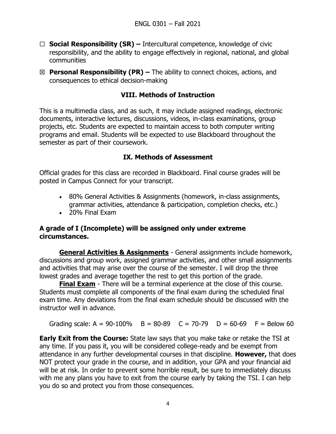- ☐ **Social Responsibility (SR) –** Intercultural competence, knowledge of civic responsibility, and the ability to engage effectively in regional, national, and global communities
- ☒ **Personal Responsibility (PR) –** The ability to connect choices, actions, and consequences to ethical decision-making

### **VIII. Methods of Instruction**

This is a multimedia class, and as such, it may include assigned readings, electronic documents, interactive lectures, discussions, videos, in-class examinations, group projects, etc. Students are expected to maintain access to both computer writing programs and email. Students will be expected to use Blackboard throughout the semester as part of their coursework.

#### **IX. Methods of Assessment**

Official grades for this class are recorded in Blackboard. Final course grades will be posted in Campus Connect for your transcript.

- 80% General Activities & Assignments (homework, in-class assignments, grammar activities, attendance & participation, completion checks, etc.)
- 20% Final Exam

#### **A grade of I (Incomplete) will be assigned only under extreme circumstances.**

**General Activities & Assignments** - General assignments include homework, discussions and group work, assigned grammar activities, and other small assignments and activities that may arise over the course of the semester. I will drop the three lowest grades and average together the rest to get this portion of the grade.

**Final Exam** - There will be a terminal experience at the close of this course. Students must complete all components of the final exam during the scheduled final exam time. Any deviations from the final exam schedule should be discussed with the instructor well in advance.

Grading scale:  $A = 90-100\%$  B = 80-89 C = 70-79 D = 60-69 F = Below 60

**Early Exit from the Course:** State law says that you make take or retake the TSI at any time. If you pass it, you will be considered college-ready and be exempt from attendance in any further developmental courses in that discipline. **However,** that does NOT protect your grade in the course, and in addition, your GPA and your financial aid will be at risk. In order to prevent some horrible result, be sure to immediately discuss with me any plans you have to exit from the course early by taking the TSI. I can help you do so and protect you from those consequences.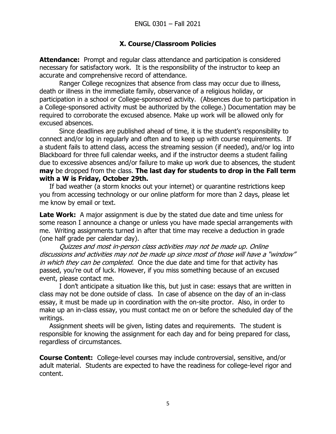### **X. Course/Classroom Policies**

**Attendance:** Prompt and regular class attendance and participation is considered necessary for satisfactory work. It is the responsibility of the instructor to keep an accurate and comprehensive record of attendance.

Ranger College recognizes that absence from class may occur due to illness, death or illness in the immediate family, observance of a religious holiday, or participation in a school or College-sponsored activity. (Absences due to participation in a College-sponsored activity must be authorized by the college.) Documentation may be required to corroborate the excused absence. Make up work will be allowed only for excused absences.

Since deadlines are published ahead of time, it is the student's responsibility to connect and/or log in regularly and often and to keep up with course requirements. If a student fails to attend class, access the streaming session (if needed), and/or log into Blackboard for three full calendar weeks, and if the instructor deems a student failing due to excessive absences and/or failure to make up work due to absences, the student **may** be dropped from the class. **The last day for students to drop in the Fall term with a W is Friday, October 29th.**

If bad weather (a storm knocks out your internet) or quarantine restrictions keep you from accessing technology or our online platform for more than 2 days, please let me know by email or text.

**Late Work:** A major assignment is due by the stated due date and time unless for some reason I announce a change or unless you have made special arrangements with me. Writing assignments turned in after that time may receive a deduction in grade (one half grade per calendar day).

Quizzes and most in-person class activities may not be made up. Online discussions and activities may not be made up since most of those will have a "window" in which they can be completed. Once the due date and time for that activity has passed, you're out of luck. However, if you miss something because of an excused event, please contact me.

I don't anticipate a situation like this, but just in case: essays that are written in class may not be done outside of class. In case of absence on the day of an in-class essay, it must be made up in coordination with the on-site proctor. Also, in order to make up an in-class essay, you must contact me on or before the scheduled day of the writings.

Assignment sheets will be given, listing dates and requirements. The student is responsible for knowing the assignment for each day and for being prepared for class, regardless of circumstances.

**Course Content:** College-level courses may include controversial, sensitive, and/or adult material. Students are expected to have the readiness for college-level rigor and content.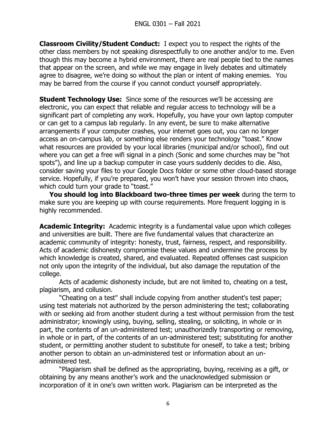**Classroom Civility/Student Conduct:** I expect you to respect the rights of the other class members by not speaking disrespectfully to one another and/or to me. Even though this may become a hybrid environment, there are real people tied to the names that appear on the screen, and while we may engage in lively debates and ultimately agree to disagree, we're doing so without the plan or intent of making enemies. You may be barred from the course if you cannot conduct yourself appropriately.

**Student Technology Use:** Since some of the resources we'll be accessing are electronic, you can expect that reliable and regular access to technology will be a significant part of completing any work. Hopefully, you have your own laptop computer or can get to a campus lab regularly. In any event, be sure to make alternative arrangements if your computer crashes, your internet goes out, you can no longer access an on-campus lab, or something else renders your technology "toast." Know what resources are provided by your local libraries (municipal and/or school), find out where you can get a free wifi signal in a pinch (Sonic and some churches may be "hot spots"), and line up a backup computer in case yours suddenly decides to die. Also, consider saving your files to your Google Docs folder or some other cloud-based storage service. Hopefully, if you're prepared, you won't have your session thrown into chaos, which could turn your grade to "toast."

**You should log into Blackboard two-three times per week** during the term to make sure you are keeping up with course requirements. More frequent logging in is highly recommended.

**Academic Integrity:** Academic integrity is a fundamental value upon which colleges and universities are built. There are five fundamental values that characterize an academic community of integrity: honesty, trust, fairness, respect, and responsibility. Acts of academic dishonesty compromise these values and undermine the process by which knowledge is created, shared, and evaluated. Repeated offenses cast suspicion not only upon the integrity of the individual, but also damage the reputation of the college.

Acts of academic dishonesty include, but are not limited to, cheating on a test, plagiarism, and collusion.

"Cheating on a test" shall include copying from another student's test paper; using test materials not authorized by the person administering the test; collaborating with or seeking aid from another student during a test without permission from the test administrator; knowingly using, buying, selling, stealing, or soliciting, in whole or in part, the contents of an un-administered test; unauthorizedly transporting or removing, in whole or in part, of the contents of an un-administered test; substituting for another student, or permitting another student to substitute for oneself, to take a test; bribing another person to obtain an un-administered test or information about an unadministered test.

"Plagiarism shall be defined as the appropriating, buying, receiving as a gift, or obtaining by any means another's work and the unacknowledged submission or incorporation of it in one's own written work. Plagiarism can be interpreted as the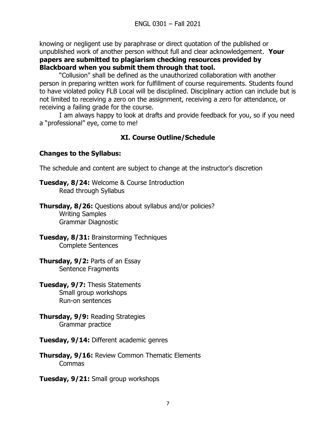knowing or negligent use by paraphrase or direct quotation of the published or unpublished work of another person without full and clear acknowledgement. **Your papers are submitted to plagiarism checking resources provided by Blackboard when you submit them through that tool.**

"Collusion" shall be defined as the unauthorized collaboration with another person in preparing written work for fulfillment of course requirements. Students found to have violated policy FLB Local will be disciplined. Disciplinary action can include but is not limited to receiving a zero on the assignment, receiving a zero for attendance, or receiving a failing grade for the course.

I am always happy to look at drafts and provide feedback for you, so if you need a "professional" eye, come to me!

# **XI. Course Outline/Schedule**

## **Changes to the Syllabus:**

The schedule and content are subject to change at the instructor's discretion

**Tuesday, 8/24:** Welcome & Course Introduction Read through Syllabus

**Thursday, 8/26:** Questions about syllabus and/or policies? Writing Samples Grammar Diagnostic

**Tuesday, 8/31:** Brainstorming Techniques Complete Sentences

**Thursday, 9/2:** Parts of an Essay Sentence Fragments

**Tuesday, 9/7:** Thesis Statements Small group workshops Run-on sentences

**Thursday, 9/9:** Reading Strategies Grammar practice

**Tuesday, 9/14:** Different academic genres

**Thursday, 9/16:** Review Common Thematic Elements Commas

**Tuesday, 9/21:** Small group workshops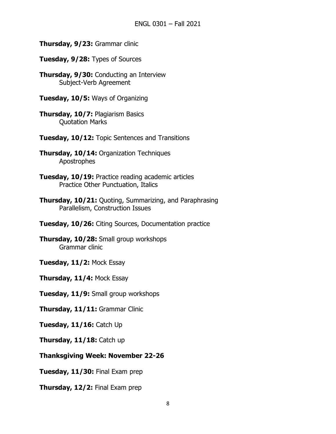- **Thursday, 9/23:** Grammar clinic
- **Tuesday, 9/28:** Types of Sources
- **Thursday, 9/30:** Conducting an Interview Subject-Verb Agreement
- **Tuesday, 10/5:** Ways of Organizing
- **Thursday, 10/7:** Plagiarism Basics Quotation Marks
- **Tuesday, 10/12:** Topic Sentences and Transitions
- **Thursday, 10/14:** Organization Techniques Apostrophes
- **Tuesday, 10/19:** Practice reading academic articles Practice Other Punctuation, Italics
- **Thursday, 10/21:** Quoting, Summarizing, and Paraphrasing Parallelism, Construction Issues
- **Tuesday, 10/26:** Citing Sources, Documentation practice
- **Thursday, 10/28:** Small group workshops Grammar clinic
- **Tuesday, 11/2:** Mock Essay
- **Thursday, 11/4:** Mock Essay
- **Tuesday, 11/9:** Small group workshops
- **Thursday, 11/11:** Grammar Clinic
- **Tuesday, 11/16:** Catch Up
- **Thursday, 11/18:** Catch up
- **Thanksgiving Week: November 22-26**
- **Tuesday, 11/30:** Final Exam prep
- **Thursday, 12/2:** Final Exam prep